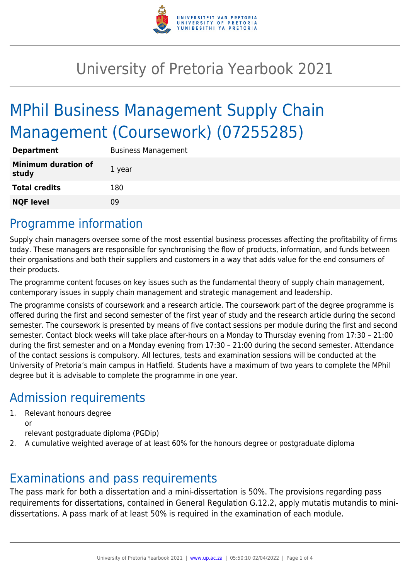

## University of Pretoria Yearbook 2021

# MPhil Business Management Supply Chain Management (Coursework) (07255285)

| <b>Department</b>                   | <b>Business Management</b> |
|-------------------------------------|----------------------------|
| <b>Minimum duration of</b><br>study | 1 year                     |
| <b>Total credits</b>                | 180                        |
| <b>NQF level</b>                    | Ωd                         |

### Programme information

Supply chain managers oversee some of the most essential business processes affecting the profitability of firms today. These managers are responsible for synchronising the flow of products, information, and funds between their organisations and both their suppliers and customers in a way that adds value for the end consumers of their products.

The programme content focuses on key issues such as the fundamental theory of supply chain management, contemporary issues in supply chain management and strategic management and leadership.

The programme consists of coursework and a research article. The coursework part of the degree programme is offered during the first and second semester of the first year of study and the research article during the second semester. The coursework is presented by means of five contact sessions per module during the first and second semester. Contact block weeks will take place after-hours on a Monday to Thursday evening from 17:30 – 21:00 during the first semester and on a Monday evening from 17:30 – 21:00 during the second semester. Attendance of the contact sessions is compulsory. All lectures, tests and examination sessions will be conducted at the University of Pretoria's main campus in Hatfield. Students have a maximum of two years to complete the MPhil degree but it is advisable to complete the programme in one year.

### Admission requirements

- 1. Relevant honours degree or
	- relevant postgraduate diploma (PGDip)
- 2. A cumulative weighted average of at least 60% for the honours degree or postgraduate diploma

### Examinations and pass requirements

The pass mark for both a dissertation and a mini-dissertation is 50%. The provisions regarding pass requirements for dissertations, contained in General Regulation G.12.2, apply mutatis mutandis to minidissertations. A pass mark of at least 50% is required in the examination of each module.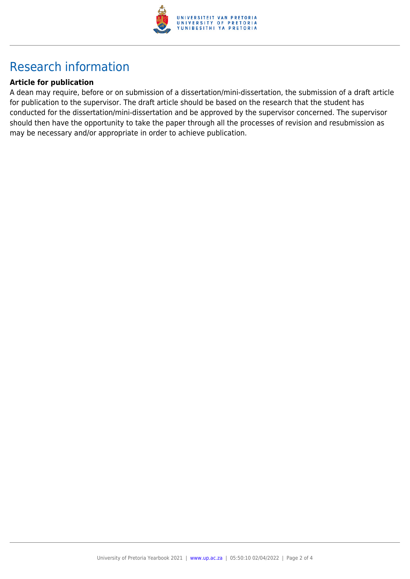

## Research information

#### **Article for publication**

A dean may require, before or on submission of a dissertation/mini-dissertation, the submission of a draft article for publication to the supervisor. The draft article should be based on the research that the student has conducted for the dissertation/mini-dissertation and be approved by the supervisor concerned. The supervisor should then have the opportunity to take the paper through all the processes of revision and resubmission as may be necessary and/or appropriate in order to achieve publication.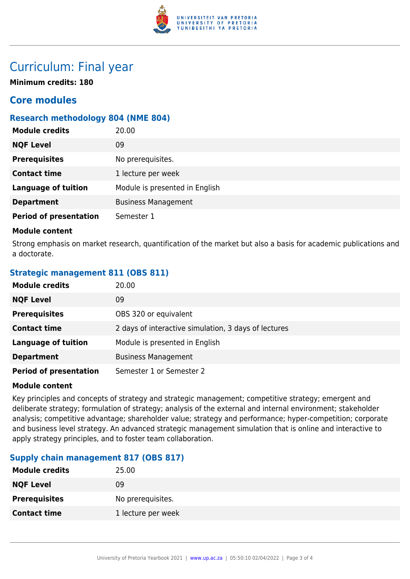

### Curriculum: Final year

**Minimum credits: 180**

### **Core modules**

#### **Research methodology 804 (NME 804)**

| <b>Module credits</b>         | 20.00                          |
|-------------------------------|--------------------------------|
| <b>NQF Level</b>              | 09                             |
| <b>Prerequisites</b>          | No prerequisites.              |
| <b>Contact time</b>           | 1 lecture per week             |
| <b>Language of tuition</b>    | Module is presented in English |
| <b>Department</b>             | <b>Business Management</b>     |
| <b>Period of presentation</b> | Semester 1                     |

#### **Module content**

Strong emphasis on market research, quantification of the market but also a basis for academic publications and a doctorate.

#### **Strategic management 811 (OBS 811)**

| <b>Module credits</b>         | 20.00                                                |
|-------------------------------|------------------------------------------------------|
| <b>NQF Level</b>              | 09                                                   |
| <b>Prerequisites</b>          | OBS 320 or equivalent                                |
| <b>Contact time</b>           | 2 days of interactive simulation, 3 days of lectures |
| <b>Language of tuition</b>    | Module is presented in English                       |
| <b>Department</b>             | <b>Business Management</b>                           |
| <b>Period of presentation</b> | Semester 1 or Semester 2                             |

#### **Module content**

Key principles and concepts of strategy and strategic management; competitive strategy; emergent and deliberate strategy; formulation of strategy; analysis of the external and internal environment; stakeholder analysis; competitive advantage; shareholder value; strategy and performance; hyper-competition; corporate and business level strategy. An advanced strategic management simulation that is online and interactive to apply strategy principles, and to foster team collaboration.

#### **Supply chain management 817 (OBS 817)**

| <b>Module credits</b> | 25.00              |
|-----------------------|--------------------|
| <b>NQF Level</b>      | 09                 |
| <b>Prerequisites</b>  | No prerequisites.  |
| <b>Contact time</b>   | 1 lecture per week |
|                       |                    |